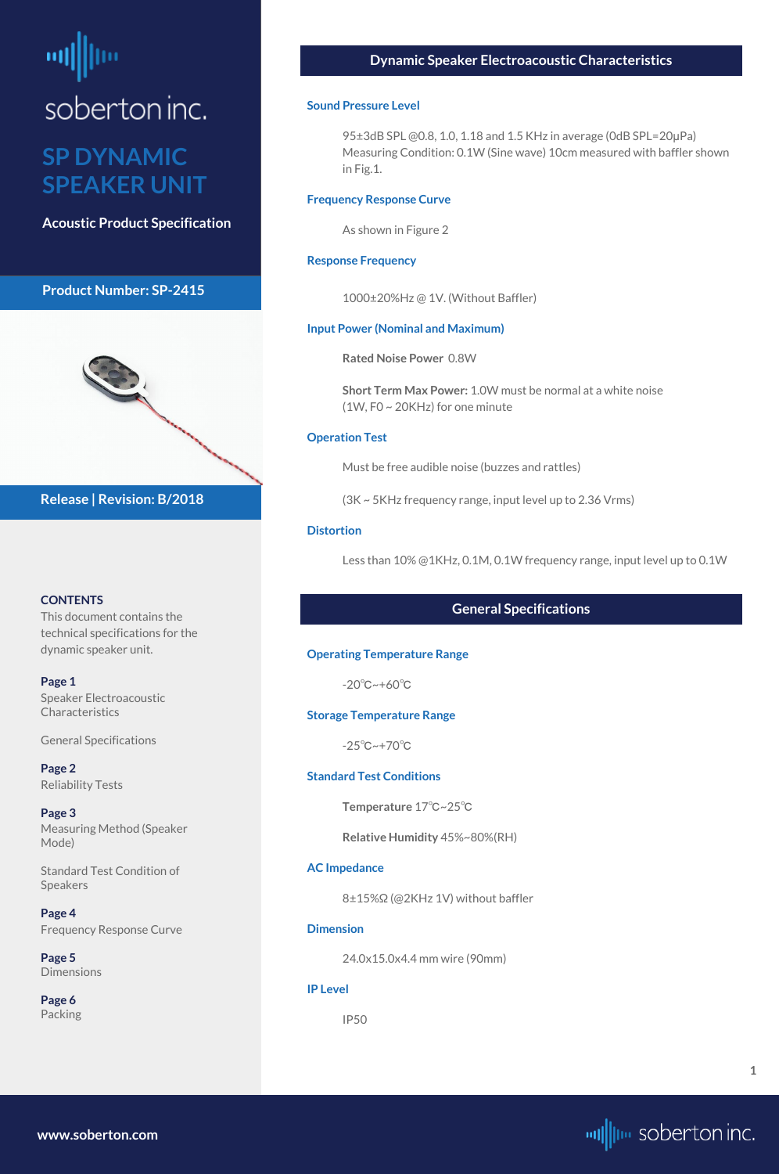## <span id="page-0-0"></span>soberton inc.

#### **SP DYNAMIC SPEAKER UNIT**

**Acoustic Product Specification**

#### **Product Number: SP-2415**



#### **CONTENTS**

This document contains the technical specifications for the dynamic speaker unit.

**[Page 5](#page-4-0) [Dimensions](#page-4-0)** 

**Page 1** Speaker Electroacoustic Characteristics

General Specifications

**[Page 2](#page-1-0)** [Reliability Tests](#page-1-0)

**[Page 3](#page-2-0)** [Measuring Method \(Speaker](#page-2-0)  [Mode\)](#page-2-0)

[Standard Test Condition of](#page-2-0)  [Speakers](#page-2-0)

**[Page 4](#page-3-0)** [Frequency Response Curve](#page-3-0)

**[Page 6](#page-5-0)** [Packing](#page-5-0)

**Release | Revision: B/2018**

#### **Dynamic Speaker Electroacoustic Characteristics**

#### **Sound Pressure Level**

95±3dB SPL @0.8, 1.0, 1.18 and 1.5 KHz in average (0dB SPL=20μPa) Measuring Condition: 0.1W (Sine wave) 10cm measured with baffler shown in Fig.1.

#### **Frequency Response Curve**

As shown in Figure 2

#### **Response Frequency**

1000±20%Hz @ 1V. (Without Baffler)

#### **Input Power (Nominal and Maximum)**

**Rated Noise Power** 0.8W

**Short Term Max Power:** 1.0W must be normal at a white noise (1W, F0 ~ 20KHz) for one minute

#### **Operation Test**

Must be free audible noise (buzzes and rattles)

(3K ~ 5KHz frequency range, input level up to 2.36 Vrms)

#### **Distortion**

Less than 10% @1KHz, 0.1M, 0.1W frequency range, input level up to 0.1W

#### **General Specifications**

#### **Operating Temperature Range**

-20℃~+60℃

#### **Storage Temperature Range**

-25℃~+70℃

#### **Standard Test Conditions**

**Temperature** 17℃~25℃

**Relative Humidity** 45%~80%(RH)

#### **AC Impedance**

8±15%Ω (@2KHz 1V) without baffler

#### **Dimension**

24.0x15.0x4.4 mm wire (90mm)

**IP Level**

IP50

**[www.soberton.com](http://www.soberton.com)**



**1**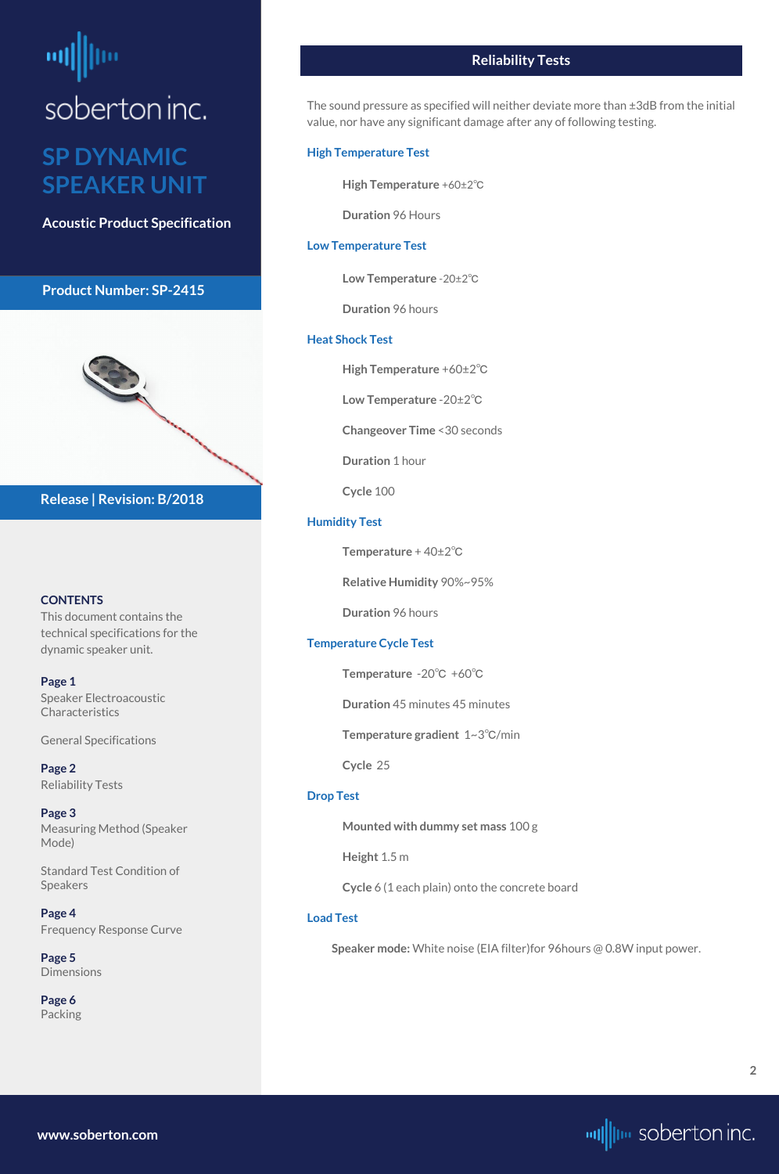# <span id="page-1-0"></span>soberton inc.

#### **SP DYNAMIC SPEAKER UNIT**

**Acoustic Product Specification**

#### **Product Number: SP-2415**



#### **CONTENTS**

**[Page 1](#page-0-0)** [Speaker Electroacoustic](#page-0-0)  **Characteristics** 

This document contains the technical specifications for the dynamic speaker unit.

**[Page 5](#page-4-0) [Dimensions](#page-4-0)** 

[General S](#page-0-0)pecifications

**Page 2** Reliability Tests

**[Page 3](#page-2-0)** [Measuring Method \(Speaker](#page-2-0)  [Mode\)](#page-2-0)

[Standard Test Condition of](#page-2-0)  [Speakers](#page-2-0)

**[Page 4](#page-3-0)** [Frequency Response Curve](#page-3-0)

**[Page 6](#page-5-0)** [Packing](#page-5-0)

**Release | Revision: B/2018**

#### **Reliability Tests**

The sound pressure as specified will neither deviate more than ±3dB from the initial value, nor have any significant damage after any of following testing.

#### **High Temperature Test**

**High Temperature** +60±2℃

**Duration** 96 Hours

#### **Low Temperature Test**

**Low Temperature** -20±2℃

**Duration** 96 hours

#### **Heat Shock Test**

**High Temperature** +60±2℃

**Low Temperature** -20±2℃

**Changeover Time** <30 seconds

**Duration** 1 hour

**Cycle** 100

#### **Humidity Test**

**Temperature** + 40±2℃

**Relative Humidity** 90%~95%

**Duration** 96 hours

#### **Temperature Cycle Test**

**Temperature** -20℃ +60℃

**Duration** 45 minutes 45 minutes

**Temperature gradient** 1~3℃/min

**Cycle** 25

#### **Drop Test**

**Mounted with dummy set mass** 100 g

**Height** 1.5 m

**Cycle** 6 (1 each plain) onto the concrete board

#### **Load Test**

**Speaker mode:** White noise (EIA filter)for 96hours @ 0.8W input power.

**[www.soberton.com](http://www.soberton.com)**

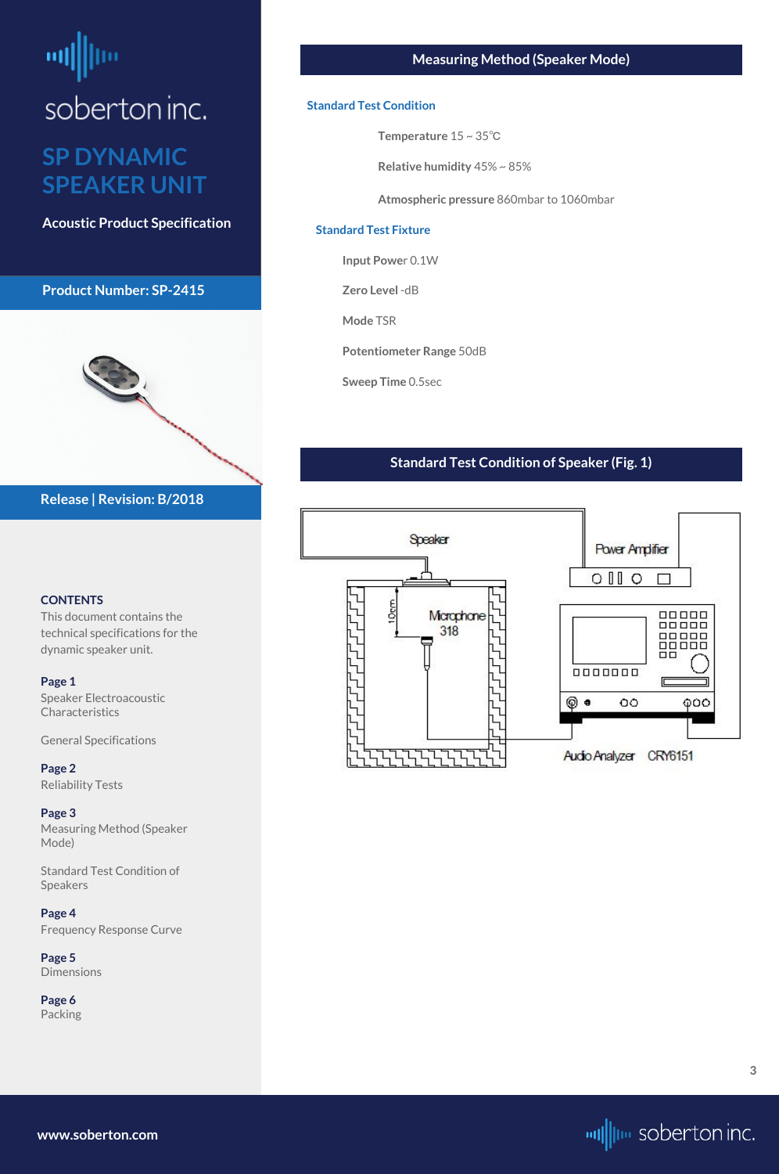## <span id="page-2-0"></span>soberton inc. **SP DYNAMIC SPEAKER UNIT**

**Acoustic Product Specification**

#### **Product Number: SP-2415**



#### **CONTENTS**

[Speaker Electroacoustic](#page-0-0)  **Characteristics** 

This document contains the technical specifications for the dynamic speaker unit.

#### **[Page 1](#page-0-0)**

[General S](#page-0-0)pecifications

**[Page 2](#page-1-0)** [Reliability Tests](#page-1-0)

**Page 3** Measuring Method (Speaker Mode)

Standard Test Condition of Speakers

**[Page 4](#page-3-0)** [Frequency Response Curve](#page-3-0)

**[Page 5](#page-4-0)** [Dimensions](#page-4-0)

**[Page 6](#page-5-0)** [Packing](#page-5-0)

#### **Release | Revision: B/2018**

#### **Measuring Method (Speaker Mode)**

#### **Standard Test Condition**

**Temperature** 15 ~ 35℃

**Relative humidity** 45% ~ 85%

**Atmospheric pressure** 860mbar to 1060mbar

#### **Standard Test Fixture**

**Input Powe**r 0.1W

**Zero Level** -dB

**Mode** TSR

**Potentiometer Range** 50dB

**Sweep Time** 0.5sec

#### **Standard Test Condition of Speaker (Fig. 1)**



**[www.soberton.com](http://www.soberton.com)**

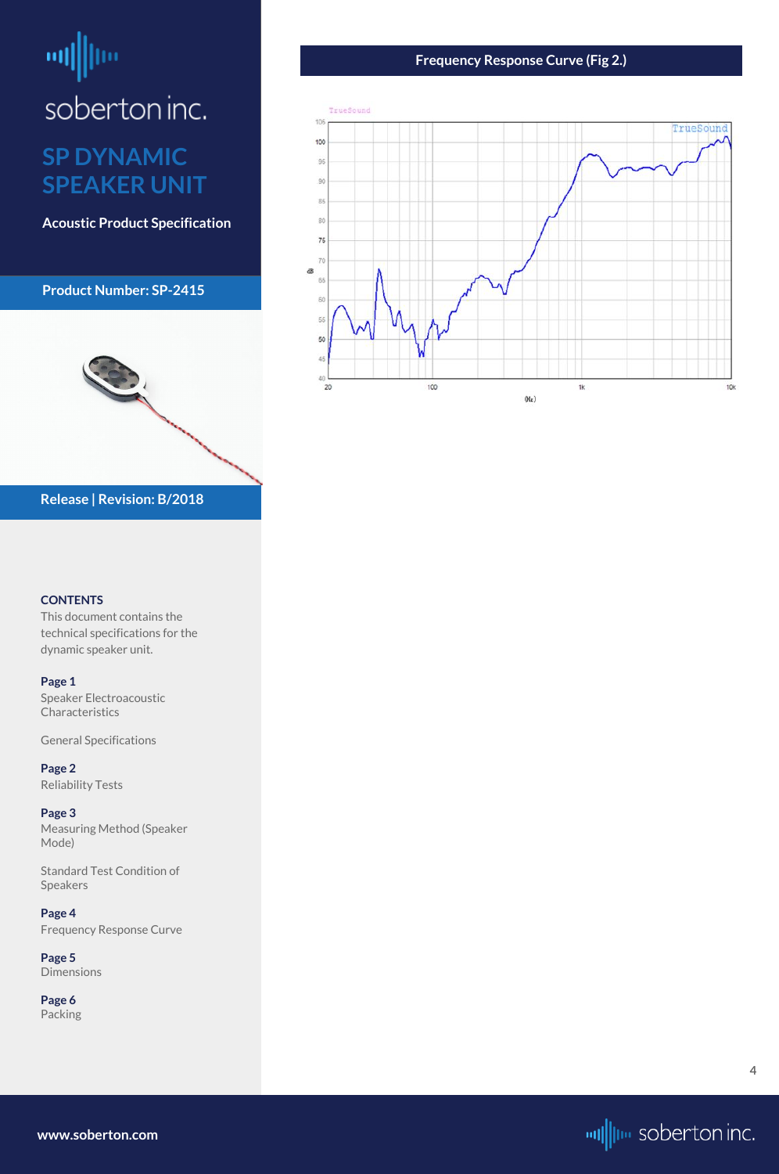## <span id="page-3-0"></span>ᆒ soberton inc. **SP DYNAMIC**

## **SPEAKER UNIT**

**Acoustic Product Specification**

#### **Product Number: SP-2415**



#### **CONTENTS**

[Speaker Electroacoustic](#page-0-0)  **Characteristics** 

This document contains the technical specifications for the dynamic speaker unit.

#### **[Page 1](#page-0-0)**

[General S](#page-0-0)pecifications

**[Page 2](#page-1-0)** [Reliability Tests](#page-1-0)

**[Page 3](#page-2-0)** [Measuring Method \(Speaker](#page-2-0)  [Mode\)](#page-2-0)

[Standard Test Condition of](#page-2-0)  [Speakers](#page-2-0)

**Page 4** Frequency Response Curve

**[Page 5](#page-4-0)** [Dimensions](#page-4-0)

**[Page 6](#page-5-0)** [Packing](#page-5-0)

#### **Release | Revision: B/2018**

#### **Frequency Response Curve (Fig 2.)**



**[www.soberton.com](http://www.soberton.com)**



**4**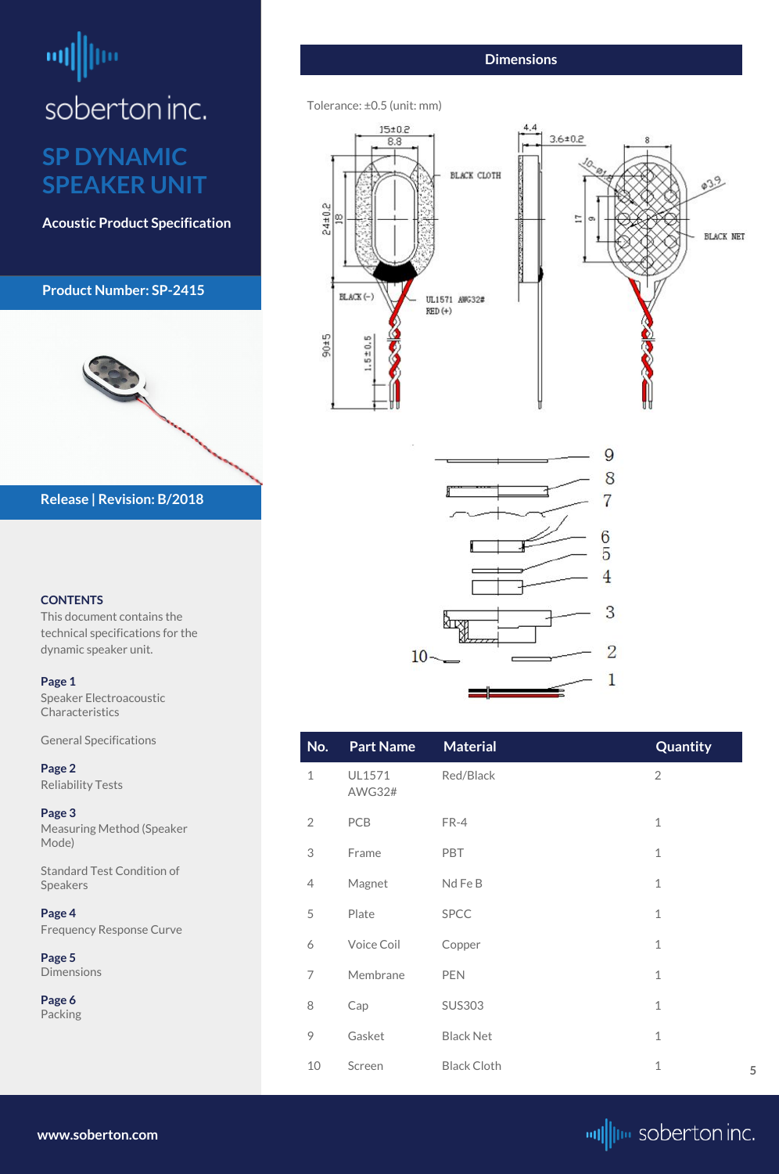<span id="page-4-0"></span>

#### **CONTENTS**

[Speaker Electroacoustic](#page-0-0)  **Characteristics** 

This document contains the technical specifications for the dynamic speaker unit.

#### **[Page 1](#page-0-0)**

[General S](#page-0-0)pecifications

**[Page 2](#page-1-0)** [Reliability Tests](#page-1-0)

**[Page 3](#page-2-0)** [Measuring Method \(Speaker](#page-2-0)  [Mode\)](#page-2-0)

[Standard Test Condition of](#page-2-0)  [Speakers](#page-2-0)

**[Page 4](#page-3-0)** [Frequency Response Curve](#page-3-0)

**Page 5** Dimensions

**[Page 6](#page-5-0)** [Packing](#page-5-0)

**Release | Revision: B/2018**

**[www.soberton.com](http://www.soberton.com)**



| No.            | <b>Part Name</b>        | <b>Material</b>    | Quantity       |
|----------------|-------------------------|--------------------|----------------|
| $\mathbf{1}$   | UL1571<br><b>AWG32#</b> | Red/Black          | $\overline{2}$ |
| $\overline{2}$ | <b>PCB</b>              | FR-4               | $\mathbf{1}$   |
| 3              | Frame                   | <b>PBT</b>         | $\mathbf{1}$   |
| $\overline{4}$ | Magnet                  | Nd Fe B            | $\mathbf{1}$   |
| 5              | Plate                   | <b>SPCC</b>        | $\mathbf{1}$   |
| 6              | Voice Coil              | Copper             | $\mathbf{1}$   |
| 7              | Membrane                | <b>PEN</b>         | $\mathbf{1}$   |
| 8              | Cap                     | <b>SUS303</b>      | $\mathbf{1}$   |
| 9              | Gasket                  | <b>Black Net</b>   | $\mathbf{1}$   |
| 10             | Screen                  | <b>Black Cloth</b> | $\mathbf{1}$   |

### **Dimensions**

Tolerance: ±0.5 (unit: mm)